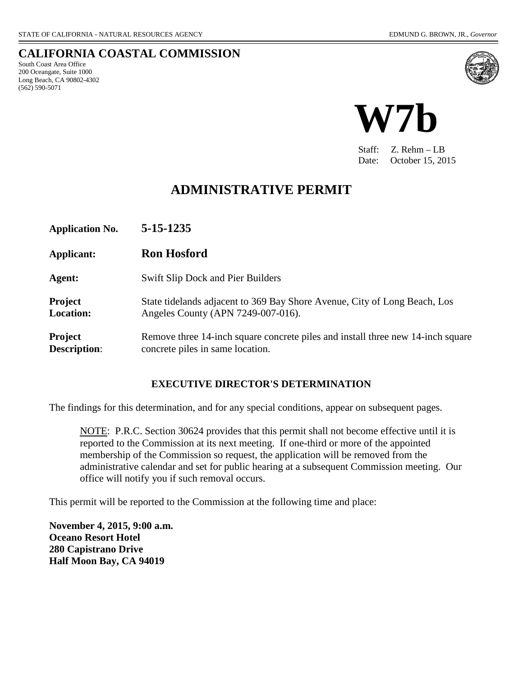(562) 590-5071

#### **CALIFORNIA COASTAL COMMISSION** South Coast Area Office 200 Oceangate, Suite 1000 Long Beach, CA 90802-4302





Staff: Z. Rehm – LB Date: October 15, 2015

## **ADMINISTRATIVE PERMIT**

| <b>Application No.</b>         | 5-15-1235                                                                                                           |
|--------------------------------|---------------------------------------------------------------------------------------------------------------------|
| Applicant:                     | <b>Ron Hosford</b>                                                                                                  |
| Agent:                         | <b>Swift Slip Dock and Pier Builders</b>                                                                            |
| <b>Project</b><br>Location:    | State tidelands adjacent to 369 Bay Shore Avenue, City of Long Beach, Los<br>Angeles County (APN 7249-007-016).     |
| Project<br><b>Description:</b> | Remove three 14-inch square concrete piles and install three new 14-inch square<br>concrete piles in same location. |

#### **EXECUTIVE DIRECTOR'S DETERMINATION**

The findings for this determination, and for any special conditions, appear on subsequent pages.

NOTE: P.R.C. Section 30624 provides that this permit shall not become effective until it is reported to the Commission at its next meeting. If one-third or more of the appointed membership of the Commission so request, the application will be removed from the administrative calendar and set for public hearing at a subsequent Commission meeting. Our office will notify you if such removal occurs.

This permit will be reported to the Commission at the following time and place:

**November 4, 2015, 9:00 a.m. Oceano Resort Hotel 280 Capistrano Drive Half Moon Bay, CA 94019**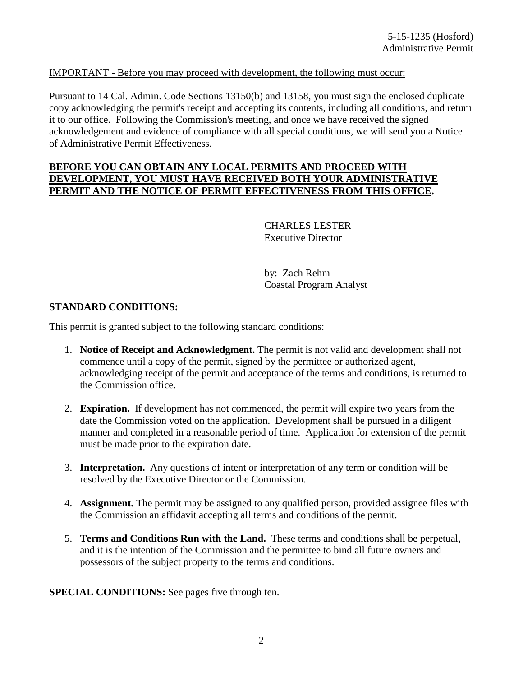#### IMPORTANT - Before you may proceed with development, the following must occur:

Pursuant to 14 Cal. Admin. Code Sections 13150(b) and 13158, you must sign the enclosed duplicate copy acknowledging the permit's receipt and accepting its contents, including all conditions, and return it to our office. Following the Commission's meeting, and once we have received the signed acknowledgement and evidence of compliance with all special conditions, we will send you a Notice of Administrative Permit Effectiveness.

#### **BEFORE YOU CAN OBTAIN ANY LOCAL PERMITS AND PROCEED WITH DEVELOPMENT, YOU MUST HAVE RECEIVED BOTH YOUR ADMINISTRATIVE PERMIT AND THE NOTICE OF PERMIT EFFECTIVENESS FROM THIS OFFICE.**

CHARLES LESTER Executive Director

by: Zach Rehm Coastal Program Analyst

#### **STANDARD CONDITIONS:**

This permit is granted subject to the following standard conditions:

- 1. **Notice of Receipt and Acknowledgment.** The permit is not valid and development shall not commence until a copy of the permit, signed by the permittee or authorized agent, acknowledging receipt of the permit and acceptance of the terms and conditions, is returned to the Commission office.
- 2. **Expiration.** If development has not commenced, the permit will expire two years from the date the Commission voted on the application. Development shall be pursued in a diligent manner and completed in a reasonable period of time. Application for extension of the permit must be made prior to the expiration date.
- 3. **Interpretation.** Any questions of intent or interpretation of any term or condition will be resolved by the Executive Director or the Commission.
- 4. **Assignment.** The permit may be assigned to any qualified person, provided assignee files with the Commission an affidavit accepting all terms and conditions of the permit.
- 5. **Terms and Conditions Run with the Land.** These terms and conditions shall be perpetual, and it is the intention of the Commission and the permittee to bind all future owners and possessors of the subject property to the terms and conditions.

**[SPECIAL CONDITIONS:](#page-4-0)** See pages five through ten.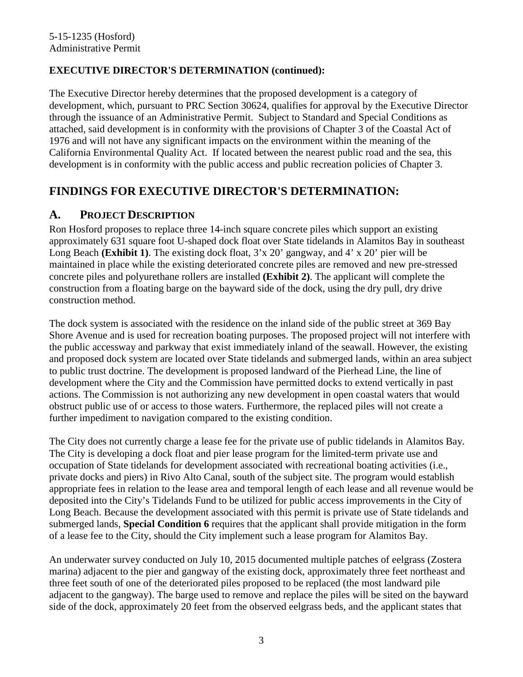### **EXECUTIVE DIRECTOR'S DETERMINATION (continued):**

The Executive Director hereby determines that the proposed development is a category of development, which, pursuant to PRC Section 30624, qualifies for approval by the Executive Director through the issuance of an Administrative Permit. Subject to Standard and Special Conditions as attached, said development is in conformity with the provisions of Chapter 3 of the Coastal Act of 1976 and will not have any significant impacts on the environment within the meaning of the California Environmental Quality Act. If located between the nearest public road and the sea, this development is in conformity with the public access and public recreation policies of Chapter 3.

### **FINDINGS FOR EXECUTIVE DIRECTOR'S DETERMINATION:**

### **A. PROJECT DESCRIPTION**

Ron Hosford proposes to replace three 14-inch square concrete piles which support an existing approximately 631 square foot U-shaped dock float over State tidelands in Alamitos Bay in southeast Long Beach **[\(Exhibit 1\)](#page-10-0)**. The existing dock float, 3'x 20' gangway, and 4' x 20' pier will be maintained in place while the existing deteriorated concrete piles are removed and new pre-stressed concrete piles and polyurethane rollers are installed **[\(Exhibit 2\)](#page-11-0)**. The applicant will complete the construction from a floating barge on the bayward side of the dock, using the dry pull, dry drive construction method.

The dock system is associated with the residence on the inland side of the public street at 369 Bay Shore Avenue and is used for recreation boating purposes. The proposed project will not interfere with the public accessway and parkway that exist immediately inland of the seawall. However, the existing and proposed dock system are located over State tidelands and submerged lands, within an area subject to public trust doctrine. The development is proposed landward of the Pierhead Line, the line of development where the City and the Commission have permitted docks to extend vertically in past actions. The Commission is not authorizing any new development in open coastal waters that would obstruct public use of or access to those waters. Furthermore, the replaced piles will not create a further impediment to navigation compared to the existing condition.

The City does not currently charge a lease fee for the private use of public tidelands in Alamitos Bay. The City is developing a dock float and pier lease program for the limited-term private use and occupation of State tidelands for development associated with recreational boating activities (i.e., private docks and piers) in Rivo Alto Canal, south of the subject site. The program would establish appropriate fees in relation to the lease area and temporal length of each lease and all revenue would be deposited into the City's Tidelands Fund to be utilized for public access improvements in the City of Long Beach. Because the development associated with this permit is private use of State tidelands and submerged lands, **Special Condition 6** requires that the applicant shall provide mitigation in the form of a lease fee to the City, should the City implement such a lease program for Alamitos Bay.

An underwater survey conducted on July 10, 2015 documented multiple patches of eelgrass (Zostera marina) adjacent to the pier and gangway of the existing dock, approximately three feet northeast and three feet south of one of the deteriorated piles proposed to be replaced (the most landward pile adjacent to the gangway). The barge used to remove and replace the piles will be sited on the bayward side of the dock, approximately 20 feet from the observed eelgrass beds, and the applicant states that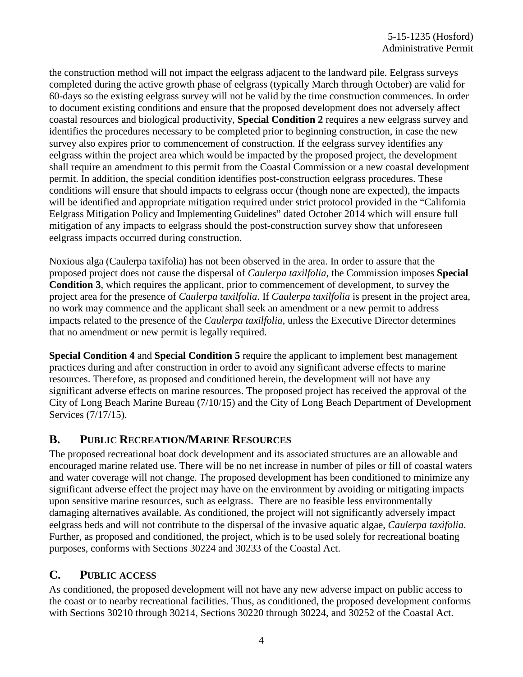the construction method will not impact the eelgrass adjacent to the landward pile. Eelgrass surveys completed during the active growth phase of eelgrass (typically March through October) are valid for 60-days so the existing eelgrass survey will not be valid by the time construction commences. In order to document existing conditions and ensure that the proposed development does not adversely affect coastal resources and biological productivity, **Special Condition 2** requires a new eelgrass survey and identifies the procedures necessary to be completed prior to beginning construction, in case the new survey also expires prior to commencement of construction. If the eelgrass survey identifies any eelgrass within the project area which would be impacted by the proposed project, the development shall require an amendment to this permit from the Coastal Commission or a new coastal development permit. In addition, the special condition identifies post-construction eelgrass procedures. These conditions will ensure that should impacts to eelgrass occur (though none are expected), the impacts will be identified and appropriate mitigation required under strict protocol provided in the "California Eelgrass Mitigation Policy and Implementing Guidelines" dated October 2014 which will ensure full mitigation of any impacts to eelgrass should the post-construction survey show that unforeseen eelgrass impacts occurred during construction.

Noxious alga (Caulerpa taxifolia) has not been observed in the area. In order to assure that the proposed project does not cause the dispersal of *Caulerpa taxilfolia*, the Commission imposes **Special Condition 3**, which requires the applicant, prior to commencement of development, to survey the project area for the presence of *Caulerpa taxilfolia*. If *Caulerpa taxilfolia* is present in the project area, no work may commence and the applicant shall seek an amendment or a new permit to address impacts related to the presence of the *Caulerpa taxilfolia*, unless the Executive Director determines that no amendment or new permit is legally required.

**Special Condition 4** and **Special Condition 5** require the applicant to implement best management practices during and after construction in order to avoid any significant adverse effects to marine resources. Therefore, as proposed and conditioned herein, the development will not have any significant adverse effects on marine resources. The proposed project has received the approval of the City of Long Beach Marine Bureau (7/10/15) and the City of Long Beach Department of Development Services (7/17/15).

### **B. PUBLIC RECREATION/MARINE RESOURCES**

The proposed recreational boat dock development and its associated structures are an allowable and encouraged marine related use. There will be no net increase in number of piles or fill of coastal waters and water coverage will not change. The proposed development has been conditioned to minimize any significant adverse effect the project may have on the environment by avoiding or mitigating impacts upon sensitive marine resources, such as eelgrass. There are no feasible less environmentally damaging alternatives available. As conditioned, the project will not significantly adversely impact eelgrass beds and will not contribute to the dispersal of the invasive aquatic algae, *Caulerpa taxifolia*. Further, as proposed and conditioned, the project, which is to be used solely for recreational boating purposes, conforms with Sections 30224 and 30233 of the Coastal Act.

### **C. PUBLIC ACCESS**

As conditioned, the proposed development will not have any new adverse impact on public access to the coast or to nearby recreational facilities. Thus, as conditioned, the proposed development conforms with Sections 30210 through 30214, Sections 30220 through 30224, and 30252 of the Coastal Act.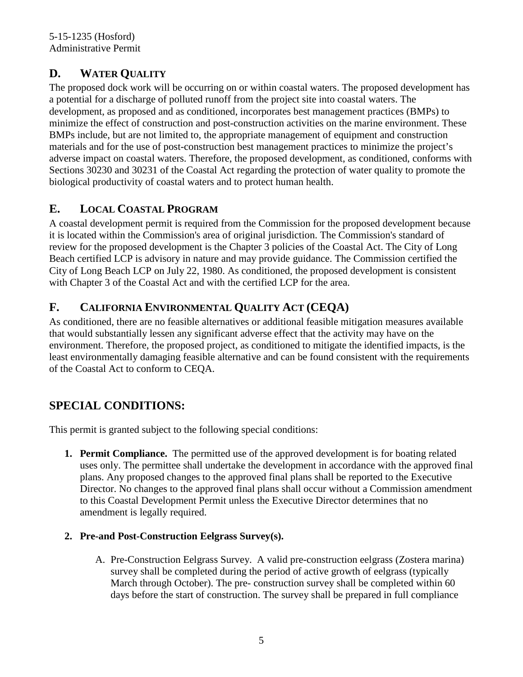## <span id="page-4-0"></span>**D. WATER QUALITY**

The proposed dock work will be occurring on or within coastal waters. The proposed development has a potential for a discharge of polluted runoff from the project site into coastal waters. The development, as proposed and as conditioned, incorporates best management practices (BMPs) to minimize the effect of construction and post-construction activities on the marine environment. These BMPs include, but are not limited to, the appropriate management of equipment and construction materials and for the use of post-construction best management practices to minimize the project's adverse impact on coastal waters. Therefore, the proposed development, as conditioned, conforms with Sections 30230 and 30231 of the Coastal Act regarding the protection of water quality to promote the biological productivity of coastal waters and to protect human health.

## **E. LOCAL COASTAL PROGRAM**

A coastal development permit is required from the Commission for the proposed development because it is located within the Commission's area of original jurisdiction. The Commission's standard of review for the proposed development is the Chapter 3 policies of the Coastal Act. The City of Long Beach certified LCP is advisory in nature and may provide guidance. The Commission certified the City of Long Beach LCP on July 22, 1980. As conditioned, the proposed development is consistent with Chapter 3 of the Coastal Act and with the certified LCP for the area.

## **F. CALIFORNIA ENVIRONMENTAL QUALITY ACT (CEQA)**

As conditioned, there are no feasible alternatives or additional feasible mitigation measures available that would substantially lessen any significant adverse effect that the activity may have on the environment. Therefore, the proposed project, as conditioned to mitigate the identified impacts, is the least environmentally damaging feasible alternative and can be found consistent with the requirements of the Coastal Act to conform to CEQA.

# **SPECIAL CONDITIONS:**

This permit is granted subject to the following special conditions:

- **1. Permit Compliance.** The permitted use of the approved development is for boating related uses only. The permittee shall undertake the development in accordance with the approved final plans. Any proposed changes to the approved final plans shall be reported to the Executive Director. No changes to the approved final plans shall occur without a Commission amendment to this Coastal Development Permit unless the Executive Director determines that no amendment is legally required.
- **2. Pre-and Post-Construction Eelgrass Survey(s).** 
	- A. Pre-Construction Eelgrass Survey. A valid pre-construction eelgrass (Zostera marina) survey shall be completed during the period of active growth of eelgrass (typically March through October). The pre- construction survey shall be completed within 60 days before the start of construction. The survey shall be prepared in full compliance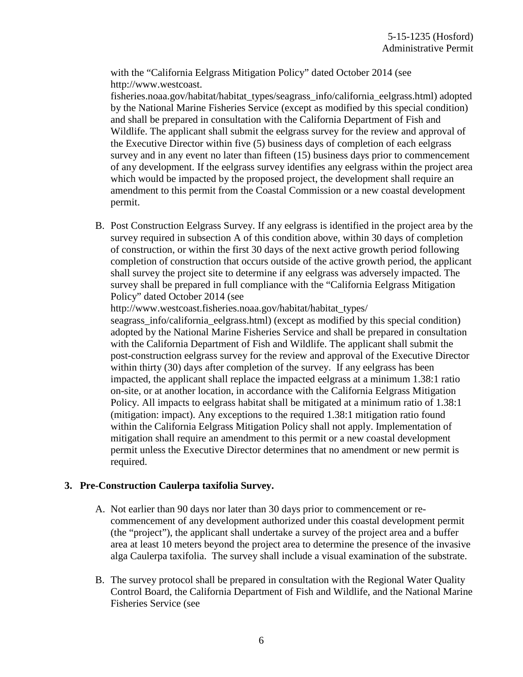with the "California Eelgrass Mitigation Policy" dated October 2014 (see http://www.westcoast.

fisheries.noaa.gov/habitat/habitat\_types/seagrass\_info/california\_eelgrass.html) adopted by the National Marine Fisheries Service (except as modified by this special condition) and shall be prepared in consultation with the California Department of Fish and Wildlife. The applicant shall submit the eelgrass survey for the review and approval of the Executive Director within five (5) business days of completion of each eelgrass survey and in any event no later than fifteen (15) business days prior to commencement of any development. If the eelgrass survey identifies any eelgrass within the project area which would be impacted by the proposed project, the development shall require an amendment to this permit from the Coastal Commission or a new coastal development permit.

B. Post Construction Eelgrass Survey. If any eelgrass is identified in the project area by the survey required in subsection A of this condition above, within 30 days of completion of construction, or within the first 30 days of the next active growth period following completion of construction that occurs outside of the active growth period, the applicant shall survey the project site to determine if any eelgrass was adversely impacted. The survey shall be prepared in full compliance with the "California Eelgrass Mitigation Policy" dated October 2014 (see

http://www.westcoast.fisheries.noaa.gov/habitat/habitat\_types/

seagrass info/california eelgrass.html) (except as modified by this special condition) adopted by the National Marine Fisheries Service and shall be prepared in consultation with the California Department of Fish and Wildlife. The applicant shall submit the post-construction eelgrass survey for the review and approval of the Executive Director within thirty (30) days after completion of the survey. If any eelgrass has been impacted, the applicant shall replace the impacted eelgrass at a minimum 1.38:1 ratio on-site, or at another location, in accordance with the California Eelgrass Mitigation Policy. All impacts to eelgrass habitat shall be mitigated at a minimum ratio of 1.38:1 (mitigation: impact). Any exceptions to the required 1.38:1 mitigation ratio found within the California Eelgrass Mitigation Policy shall not apply. Implementation of mitigation shall require an amendment to this permit or a new coastal development permit unless the Executive Director determines that no amendment or new permit is required.

#### **3. Pre-Construction Caulerpa taxifolia Survey.**

- A. Not earlier than 90 days nor later than 30 days prior to commencement or recommencement of any development authorized under this coastal development permit (the "project"), the applicant shall undertake a survey of the project area and a buffer area at least 10 meters beyond the project area to determine the presence of the invasive alga Caulerpa taxifolia. The survey shall include a visual examination of the substrate.
- B. The survey protocol shall be prepared in consultation with the Regional Water Quality Control Board, the California Department of Fish and Wildlife, and the National Marine Fisheries Service (see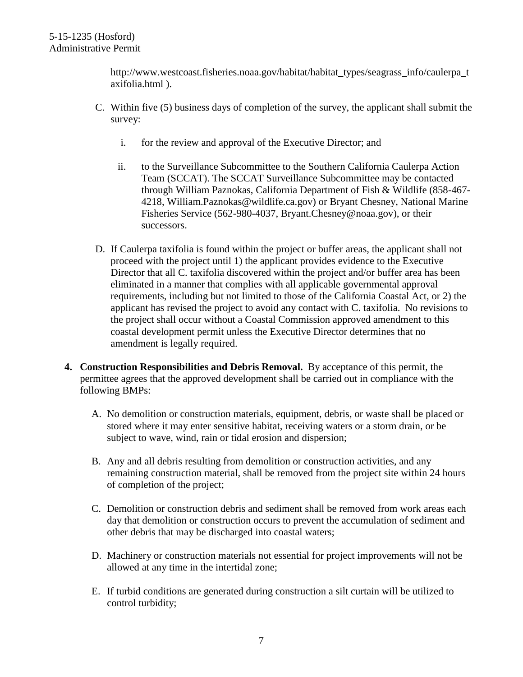http://www.westcoast.fisheries.noaa.gov/habitat/habitat\_types/seagrass\_info/caulerpa\_t axifolia.html ).

- C. Within five (5) business days of completion of the survey, the applicant shall submit the survey:
	- i. for the review and approval of the Executive Director; and
	- ii. to the Surveillance Subcommittee to the Southern California Caulerpa Action Team (SCCAT). The SCCAT Surveillance Subcommittee may be contacted through William Paznokas, California Department of Fish & Wildlife (858-467- 4218, William.Paznokas@wildlife.ca.gov) or Bryant Chesney, National Marine Fisheries Service (562-980-4037, Bryant.Chesney@noaa.gov), or their successors.
- D. If Caulerpa taxifolia is found within the project or buffer areas, the applicant shall not proceed with the project until 1) the applicant provides evidence to the Executive Director that all C. taxifolia discovered within the project and/or buffer area has been eliminated in a manner that complies with all applicable governmental approval requirements, including but not limited to those of the California Coastal Act, or 2) the applicant has revised the project to avoid any contact with C. taxifolia. No revisions to the project shall occur without a Coastal Commission approved amendment to this coastal development permit unless the Executive Director determines that no amendment is legally required.
- **4. Construction Responsibilities and Debris Removal.** By acceptance of this permit, the permittee agrees that the approved development shall be carried out in compliance with the following BMPs:
	- A. No demolition or construction materials, equipment, debris, or waste shall be placed or stored where it may enter sensitive habitat, receiving waters or a storm drain, or be subject to wave, wind, rain or tidal erosion and dispersion;
	- B. Any and all debris resulting from demolition or construction activities, and any remaining construction material, shall be removed from the project site within 24 hours of completion of the project;
	- C. Demolition or construction debris and sediment shall be removed from work areas each day that demolition or construction occurs to prevent the accumulation of sediment and other debris that may be discharged into coastal waters;
	- D. Machinery or construction materials not essential for project improvements will not be allowed at any time in the intertidal zone;
	- E. If turbid conditions are generated during construction a silt curtain will be utilized to control turbidity;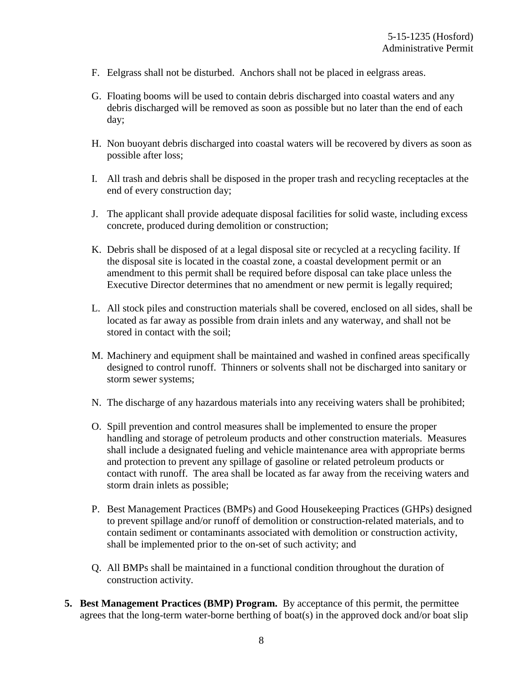- F. Eelgrass shall not be disturbed. Anchors shall not be placed in eelgrass areas.
- G. Floating booms will be used to contain debris discharged into coastal waters and any debris discharged will be removed as soon as possible but no later than the end of each day;
- H. Non buoyant debris discharged into coastal waters will be recovered by divers as soon as possible after loss;
- I. All trash and debris shall be disposed in the proper trash and recycling receptacles at the end of every construction day;
- J. The applicant shall provide adequate disposal facilities for solid waste, including excess concrete, produced during demolition or construction;
- K. Debris shall be disposed of at a legal disposal site or recycled at a recycling facility. If the disposal site is located in the coastal zone, a coastal development permit or an amendment to this permit shall be required before disposal can take place unless the Executive Director determines that no amendment or new permit is legally required;
- L. All stock piles and construction materials shall be covered, enclosed on all sides, shall be located as far away as possible from drain inlets and any waterway, and shall not be stored in contact with the soil;
- M. Machinery and equipment shall be maintained and washed in confined areas specifically designed to control runoff. Thinners or solvents shall not be discharged into sanitary or storm sewer systems;
- N. The discharge of any hazardous materials into any receiving waters shall be prohibited;
- O. Spill prevention and control measures shall be implemented to ensure the proper handling and storage of petroleum products and other construction materials. Measures shall include a designated fueling and vehicle maintenance area with appropriate berms and protection to prevent any spillage of gasoline or related petroleum products or contact with runoff. The area shall be located as far away from the receiving waters and storm drain inlets as possible;
- P. Best Management Practices (BMPs) and Good Housekeeping Practices (GHPs) designed to prevent spillage and/or runoff of demolition or construction-related materials, and to contain sediment or contaminants associated with demolition or construction activity, shall be implemented prior to the on-set of such activity; and
- Q. All BMPs shall be maintained in a functional condition throughout the duration of construction activity.
- **5. Best Management Practices (BMP) Program.** By acceptance of this permit, the permittee agrees that the long-term water-borne berthing of boat(s) in the approved dock and/or boat slip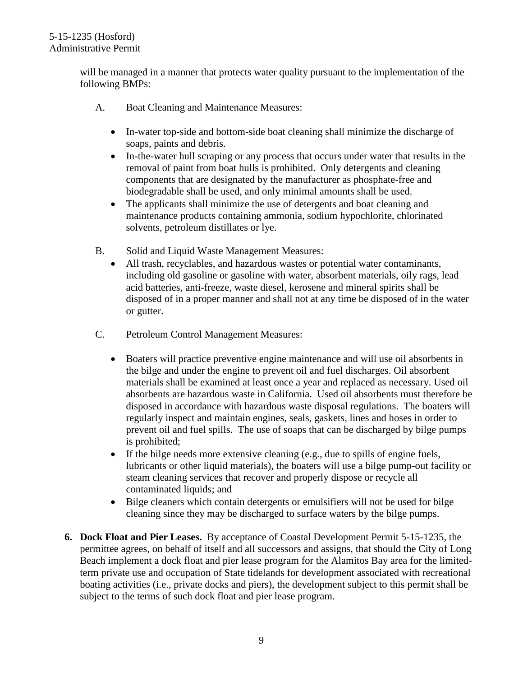will be managed in a manner that protects water quality pursuant to the implementation of the following BMPs:

- A. Boat Cleaning and Maintenance Measures:
	- In-water top-side and bottom-side boat cleaning shall minimize the discharge of soaps, paints and debris.
	- In-the-water hull scraping or any process that occurs under water that results in the removal of paint from boat hulls is prohibited. Only detergents and cleaning components that are designated by the manufacturer as phosphate-free and biodegradable shall be used, and only minimal amounts shall be used.
	- The applicants shall minimize the use of detergents and boat cleaning and maintenance products containing ammonia, sodium hypochlorite, chlorinated solvents, petroleum distillates or lye.
- B. Solid and Liquid Waste Management Measures:
	- All trash, recyclables, and hazardous wastes or potential water contaminants, including old gasoline or gasoline with water, absorbent materials, oily rags, lead acid batteries, anti-freeze, waste diesel, kerosene and mineral spirits shall be disposed of in a proper manner and shall not at any time be disposed of in the water or gutter.
- C. Petroleum Control Management Measures:
	- Boaters will practice preventive engine maintenance and will use oil absorbents in the bilge and under the engine to prevent oil and fuel discharges. Oil absorbent materials shall be examined at least once a year and replaced as necessary. Used oil absorbents are hazardous waste in California. Used oil absorbents must therefore be disposed in accordance with hazardous waste disposal regulations. The boaters will regularly inspect and maintain engines, seals, gaskets, lines and hoses in order to prevent oil and fuel spills. The use of soaps that can be discharged by bilge pumps is prohibited;
	- If the bilge needs more extensive cleaning (e.g., due to spills of engine fuels, lubricants or other liquid materials), the boaters will use a bilge pump-out facility or steam cleaning services that recover and properly dispose or recycle all contaminated liquids; and
	- Bilge cleaners which contain detergents or emulsifiers will not be used for bilge cleaning since they may be discharged to surface waters by the bilge pumps.
- **6. Dock Float and Pier Leases.** By acceptance of Coastal Development Permit 5-15-1235, the permittee agrees, on behalf of itself and all successors and assigns, that should the City of Long Beach implement a dock float and pier lease program for the Alamitos Bay area for the limitedterm private use and occupation of State tidelands for development associated with recreational boating activities (i.e., private docks and piers), the development subject to this permit shall be subject to the terms of such dock float and pier lease program.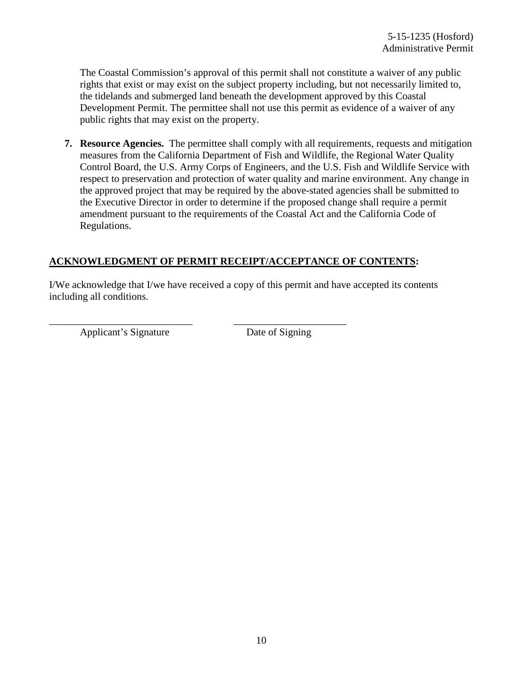The Coastal Commission's approval of this permit shall not constitute a waiver of any public rights that exist or may exist on the subject property including, but not necessarily limited to, the tidelands and submerged land beneath the development approved by this Coastal Development Permit. The permittee shall not use this permit as evidence of a waiver of any public rights that may exist on the property.

**7. Resource Agencies.** The permittee shall comply with all requirements, requests and mitigation measures from the California Department of Fish and Wildlife, the Regional Water Quality Control Board, the U.S. Army Corps of Engineers, and the U.S. Fish and Wildlife Service with respect to preservation and protection of water quality and marine environment. Any change in the approved project that may be required by the above-stated agencies shall be submitted to the Executive Director in order to determine if the proposed change shall require a permit amendment pursuant to the requirements of the Coastal Act and the California Code of Regulations.

### **ACKNOWLEDGMENT OF PERMIT RECEIPT/ACCEPTANCE OF CONTENTS:**

I/We acknowledge that I/we have received a copy of this permit and have accepted its contents including all conditions.

\_\_\_\_\_\_\_\_\_\_\_\_\_\_\_\_\_\_\_\_\_\_\_\_\_\_\_\_ \_\_\_\_\_\_\_\_\_\_\_\_\_\_\_\_\_\_\_\_\_\_ Applicant's Signature Date of Signing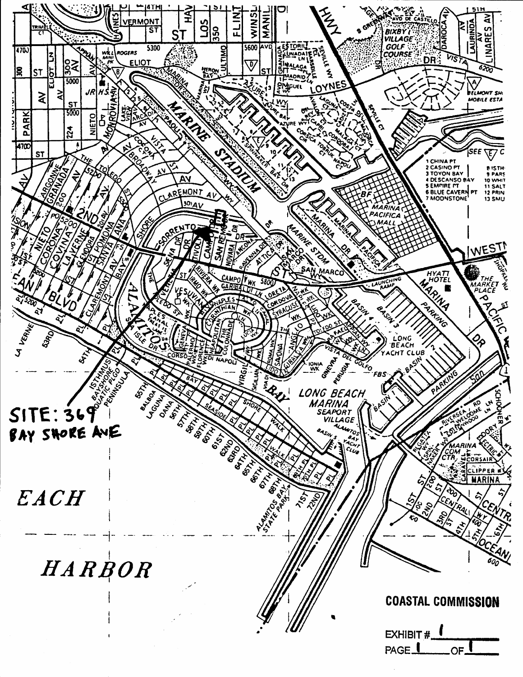